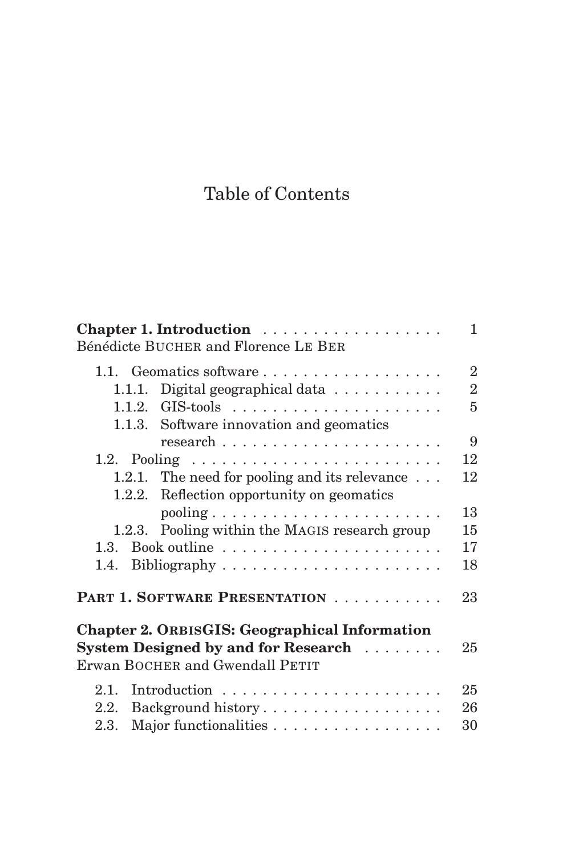## Table of Contents

| Chapter 1. Introduction                                    | 1              |
|------------------------------------------------------------|----------------|
| Bénédicte BUCHER and Florence LE BER                       |                |
| 1.1. Geomatics software                                    | $\overline{2}$ |
| Digital geographical data $\ldots \ldots \ldots$<br>1.1.1. | $\overline{2}$ |
|                                                            | $\overline{5}$ |
| 1.1.3. Software innovation and geomatics                   |                |
|                                                            | 9              |
|                                                            | 12             |
| The need for pooling and its relevance $\ldots$<br>1.2.1.  | 12             |
| 1.2.2. Reflection opportunity on geomatics                 |                |
| $pooling \ldots \ldots \ldots \ldots \ldots \ldots \ldots$ | 13             |
| 1.2.3. Pooling within the MAGIS research group             | 15             |
|                                                            | 17             |
|                                                            | 18             |
| PART 1. SOFTWARE PRESENTATION                              | 23             |
| <b>Chapter 2. ORBISGIS: Geographical Information</b>       |                |
| System Designed by and for Research                        | 25             |
| Erwan BOCHER and Gwendall PETIT                            |                |
| 2.1.                                                       | 25             |
| Background history<br>2.2.                                 | 26             |
| Major functionalities<br>2.3.                              | 30             |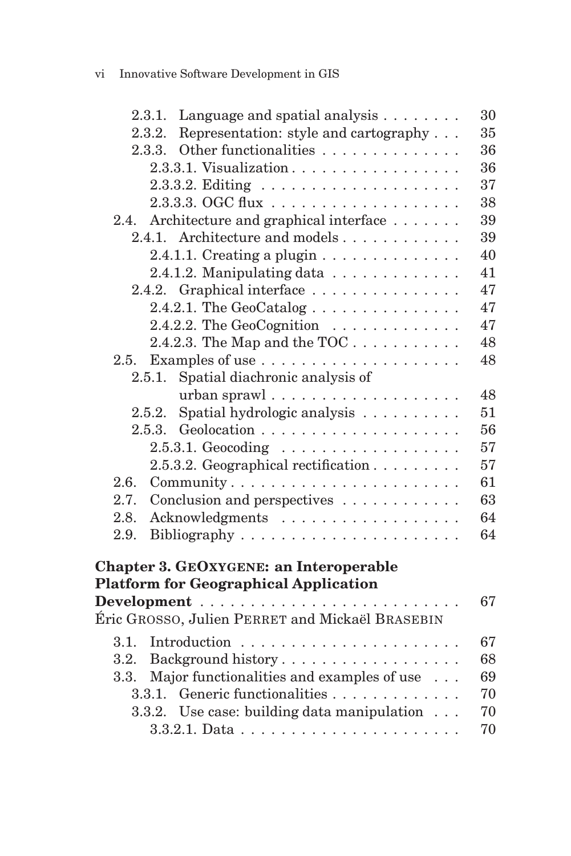## vi Innovative Software Development in GIS

|      | 2.3.1. Language and spatial analysis $\dots \dots$                                            | 30 |
|------|-----------------------------------------------------------------------------------------------|----|
|      | Representation: style and cartography<br>2.3.2.                                               | 35 |
|      | Other functionalities<br>2.3.3.                                                               | 36 |
|      | 2.3.3.1. Visualization                                                                        | 36 |
|      |                                                                                               | 37 |
|      |                                                                                               | 38 |
| 2.4. | Architecture and graphical interface                                                          | 39 |
|      | 2.4.1. Architecture and models                                                                | 39 |
|      | 2.4.1.1. Creating a plugin $\dots \dots \dots \dots$                                          | 40 |
|      | 2.4.1.2. Manipulating data                                                                    | 41 |
|      | 2.4.2. Graphical interface                                                                    | 47 |
|      | 2.4.2.1. The GeoCatalog $\ldots \ldots \ldots \ldots$                                         | 47 |
|      | 2.4.2.2. The GeoCognition $\ldots \ldots \ldots \ldots$                                       | 47 |
|      | 2.4.2.3. The Map and the TOC $\dots \dots \dots$                                              | 48 |
| 2.5. |                                                                                               | 48 |
|      | Spatial diachronic analysis of<br>2.5.1.                                                      |    |
|      | urban sprawl                                                                                  | 48 |
|      | Spatial hydrologic analysis<br>2.5.2.                                                         | 51 |
|      | 2.5.3.                                                                                        | 56 |
|      | $2.5.3.1. Geocoding \dots \dots \dots \dots \dots \dots$                                      | 57 |
|      | 2.5.3.2. Geographical rectification                                                           | 57 |
| 2.6. | Community                                                                                     | 61 |
| 2.7. | Conclusion and perspectives                                                                   | 63 |
| 2.8. | Acknowledgments                                                                               | 64 |
| 2.9. |                                                                                               | 64 |
|      | <b>Chapter 3. GEOXYGENE: an Interoperable</b><br><b>Platform for Geographical Application</b> | 67 |
|      | Éric GROSSO, Julien PERRET and Mickaël BRASEBIN                                               |    |
| 3.1. |                                                                                               | 67 |
| 3.2. |                                                                                               | 68 |
| 3.3. | Background history<br>Major functionalities and examples of use                               | 69 |
|      | Generic functionalities<br>3.3.1.                                                             | 70 |
|      | 3.3.2. Use case: building data manipulation                                                   | 70 |
|      |                                                                                               | 70 |
|      | $3.3.2.1. \text{ Data} \dots \dots \dots \dots \dots \dots \dots \dots$                       |    |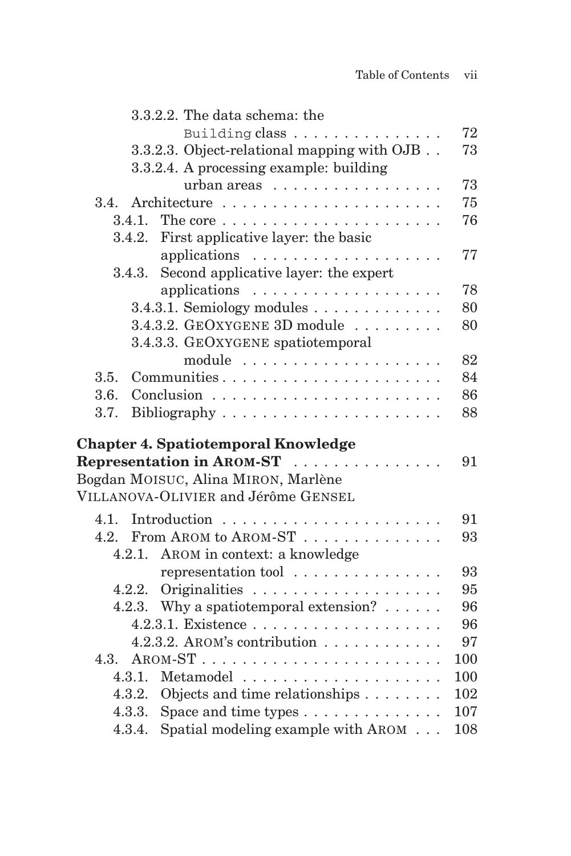| 3.3.2.2. The data schema: the                            |     |
|----------------------------------------------------------|-----|
| Building class                                           | 72  |
| 3.3.2.3. Object-relational mapping with OJB              | 73  |
| 3.3.2.4. A processing example: building                  |     |
| urban areas                                              | 73  |
| 3.4.                                                     | 75  |
| 3.4.1.                                                   | 76  |
| 3.4.2.<br>First applicative layer: the basic             |     |
|                                                          | 77  |
| Second applicative layer: the expert<br>3.4.3.           |     |
| applications $\ldots \ldots \ldots \ldots \ldots \ldots$ | 78  |
| $3.4.3.1.$ Semiology modules $\dots \dots \dots \dots$   | 80  |
| 3.4.3.2. GEOXYGENE 3D module                             | 80  |
| 3.4.3.3. GEOXYGENE spatiotemporal                        |     |
|                                                          | 82  |
| Communities<br>3.5.                                      | 84  |
| 3.6.                                                     | 86  |
| 3.7.                                                     | 88  |
|                                                          |     |
| <b>Chapter 4. Spatiotemporal Knowledge</b>               |     |
| Representation in AROM-ST                                | 91  |
| Bogdan MOISUC, Alina MIRON, Marlène                      |     |
| VILLANOVA-OLIVIER and Jérôme GENSEL                      |     |
| 4.1.                                                     | 91  |
| 4.2.<br>From AROM to AROM-ST                             | 93  |
| AROM in context: a knowledge<br>4.2.1.                   |     |
| representation tool                                      | 93  |
| 4.2.2.                                                   | 95  |
| 4.2.3. Why a spatiotemporal extension? $\dots$ .         | 96  |
|                                                          | 96  |
| 4.2.3.2. AROM's contribution $\ldots \ldots \ldots$      | 97  |
| 4.3.                                                     | 100 |
|                                                          | 100 |
| Objects and time relationships<br>4.3.2.                 | 102 |
| 4.3.3. Space and time types $\dots \dots \dots \dots$    | 107 |
| Spatial modeling example with AROM<br>4.3.4.             | 108 |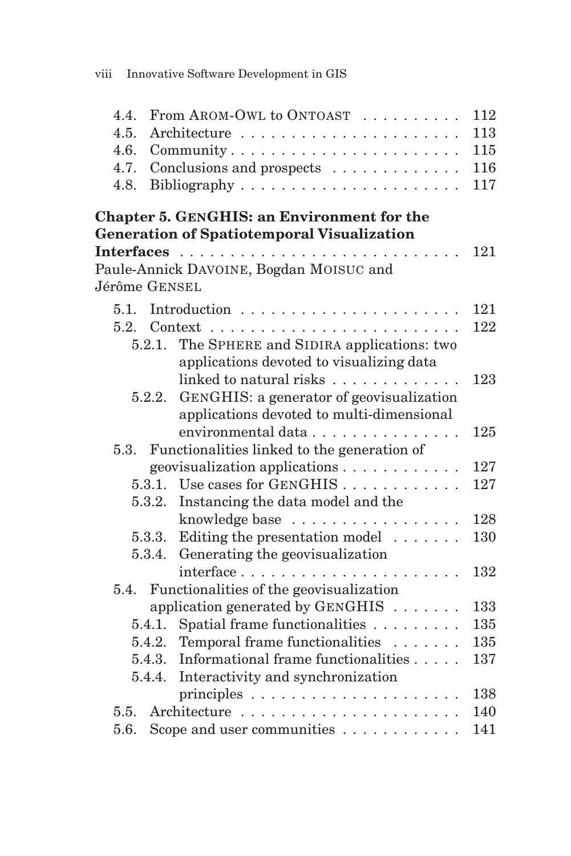| From AROM-OWL to ONTOAST<br>4.4.                         | 112 |
|----------------------------------------------------------|-----|
| 4.5.                                                     | 113 |
| 4.6.<br>Community                                        | 115 |
| 4.7.<br>Conclusions and prospects                        | 116 |
| 4.8.                                                     | 117 |
| Chapter 5. GENGHIS: an Environment for the               |     |
| <b>Generation of Spatiotemporal Visualization</b>        |     |
| $\mathbf{r}$                                             | 121 |
| Paule-Annick DAVOINE, Bogdan MOISUC and                  |     |
| Jérôme GENSEL                                            |     |
| 5.1.                                                     | 121 |
|                                                          | 122 |
| The SPHERE and SIDIRA applications: two<br>5.2.1.        |     |
| applications devoted to visualizing data                 |     |
| linked to natural risks                                  | 123 |
| GENGHIS: a generator of geovisualization<br>5.2.2.       |     |
| applications devoted to multi-dimensional                |     |
| environmental data                                       | 125 |
| Functionalities linked to the generation of<br>5.3.      |     |
| geovisualization applications $\dots \dots \dots$        | 127 |
| 5.3.1. Use cases for GENGHIS $\dots \dots \dots$         | 127 |
| 5.3.2.<br>Instancing the data model and the              |     |
| knowledge base                                           | 128 |
| Editing the presentation model $\ldots \ldots$<br>5.3.3. | 130 |
| Generating the geovisualization<br>5.3.4.                |     |
| interface                                                | 132 |
| Functionalities of the geovisualization<br>5.4.          |     |
| application generated by $GENGHIS$                       | 133 |
| Spatial frame functionalities<br>5.4.1.                  | 135 |
| Temporal frame functionalities<br>5.4.2.                 | 135 |
| Informational frame functionalities<br>5.4.3.            | 137 |
| Interactivity and synchronization<br>5.4.4.              |     |
|                                                          | 138 |
| 5.5.                                                     | 140 |
| Scope and user communities<br>5.6.                       | 141 |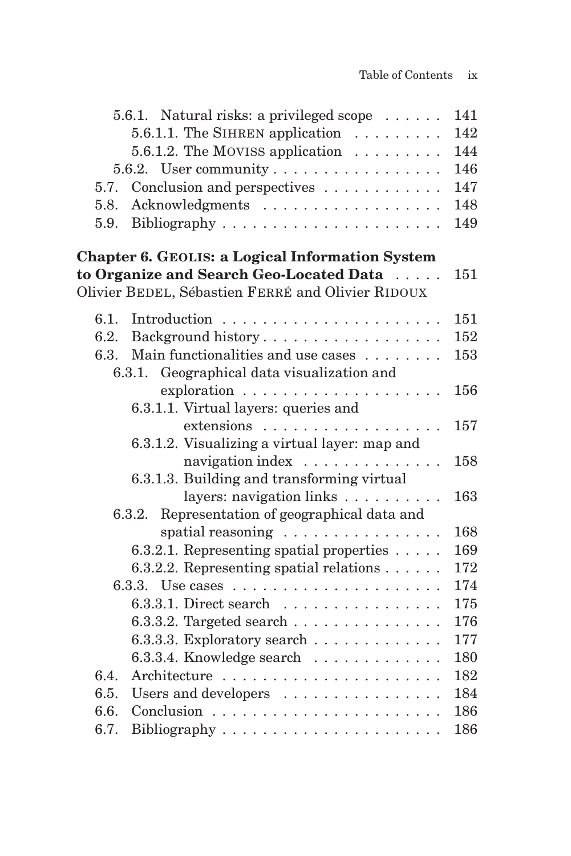|      | 5.6.1. Natural risks: a privileged scope $\dots \dots$       | 141 |
|------|--------------------------------------------------------------|-----|
|      | 5.6.1.1. The SIHREN application $\ldots \ldots$              | 142 |
|      | 5.6.1.2. The MOVISS application $\ldots \ldots$              | 144 |
|      |                                                              | 146 |
| 5.7. | Conclusion and perspectives                                  | 147 |
| 5.8. | Acknowledgments                                              | 148 |
| 5.9. |                                                              | 149 |
|      | <b>Chapter 6. GEOLIS: a Logical Information System</b>       |     |
|      | to Organize and Search Geo-Located Data                      | 151 |
|      | Olivier BEDEL, Sébastien FERRÉ and Olivier RIDOUX            |     |
| 6.1. |                                                              | 151 |
| 6.2. | Background history                                           | 152 |
| 6.3. | Main functionalities and use cases                           | 153 |
|      | Geographical data visualization and<br>6.3.1.                |     |
|      | $exploration \ldots \ldots \ldots \ldots \ldots \ldots$      | 156 |
|      | 6.3.1.1. Virtual layers: queries and                         |     |
|      | extensions                                                   | 157 |
|      | 6.3.1.2. Visualizing a virtual layer: map and                |     |
|      | navigation index                                             | 158 |
|      | 6.3.1.3. Building and transforming virtual                   |     |
|      | layers: navigation links                                     | 163 |
|      | Representation of geographical data and<br>6.3.2.            |     |
|      | spatial reasoning $\ldots \ldots \ldots \ldots$              | 168 |
|      | 6.3.2.1. Representing spatial properties                     | 169 |
|      | 6.3.2.2. Representing spatial relations $\dots \dots$        | 172 |
|      | 6.3.3. Use cases $\dots \dots \dots \dots \dots \dots \dots$ | 174 |
|      | 6.3.3.1. Direct search                                       | 175 |
|      | 6.3.3.2. Targeted search $\ldots \ldots \ldots \ldots$       | 176 |
|      | 6.3.3.3. Exploratory search $\ldots \ldots \ldots \ldots$    | 177 |
|      | 6.3.3.4. Knowledge search $\ldots \ldots \ldots \ldots$      | 180 |
| 6.4. |                                                              | 182 |
| 6.5. | Users and developers                                         | 184 |
| 6.6. |                                                              | 186 |
| 6.7. |                                                              | 186 |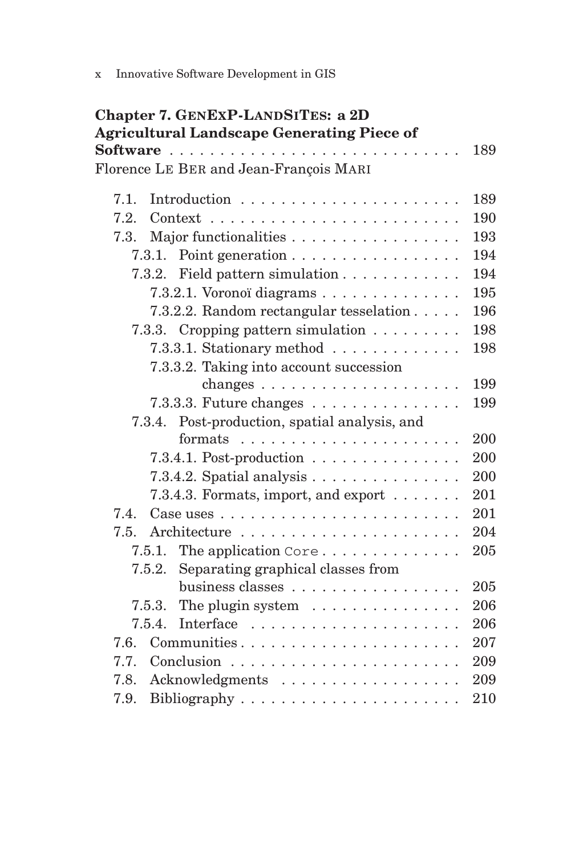| <b>Chapter 7. GENEXP-LANDSITES: a 2D</b>                                  |     |
|---------------------------------------------------------------------------|-----|
| <b>Agricultural Landscape Generating Piece of</b>                         |     |
|                                                                           | 189 |
| Florence LE BER and Jean-François MARI                                    |     |
| 7.1.                                                                      | 189 |
| 7.2.<br>$Context \ldots \ldots \ldots \ldots \ldots \ldots \ldots \ldots$ | 190 |
| Major functionalities<br>7.3.                                             | 193 |
| Point generation<br>7.3.1.                                                | 194 |
| Field pattern simulation<br>7.3.2.                                        | 194 |
| 7.3.2.1. Voronoï diagrams                                                 | 195 |
| 7.3.2.2. Random rectangular tesselation                                   | 196 |
| 7.3.3. Cropping pattern simulation                                        | 198 |
| 7.3.3.1. Stationary method                                                | 198 |
| 7.3.3.2. Taking into account succession                                   |     |
|                                                                           | 199 |
| $7.3.3.3$ . Future changes $\dots \dots \dots \dots \dots$                | 199 |
| Post-production, spatial analysis, and<br>7.3.4.                          |     |
| formats                                                                   | 200 |
| 7.3.4.1. Post-production $\ldots \ldots \ldots \ldots$                    | 200 |
| $7.3.4.2.$ Spatial analysis $\ldots \ldots \ldots \ldots$                 | 200 |
| 7.3.4.3. Formats, import, and export                                      | 201 |
| 7.4.                                                                      | 201 |
| 7.5.                                                                      | 204 |
| The application Core<br>7.5.1.                                            | 205 |
| Separating graphical classes from<br>7.5.2.                               |     |
| business classes                                                          | 205 |
| The plugin system $\dots \dots \dots \dots$<br>7.5.3.                     | 206 |
| 7.5.4.                                                                    | 206 |
| Communities<br>7.6.                                                       | 207 |
| 7.7.                                                                      | 209 |
| Acknowledgments<br>7.8.                                                   | 209 |
| 7.9.                                                                      | 210 |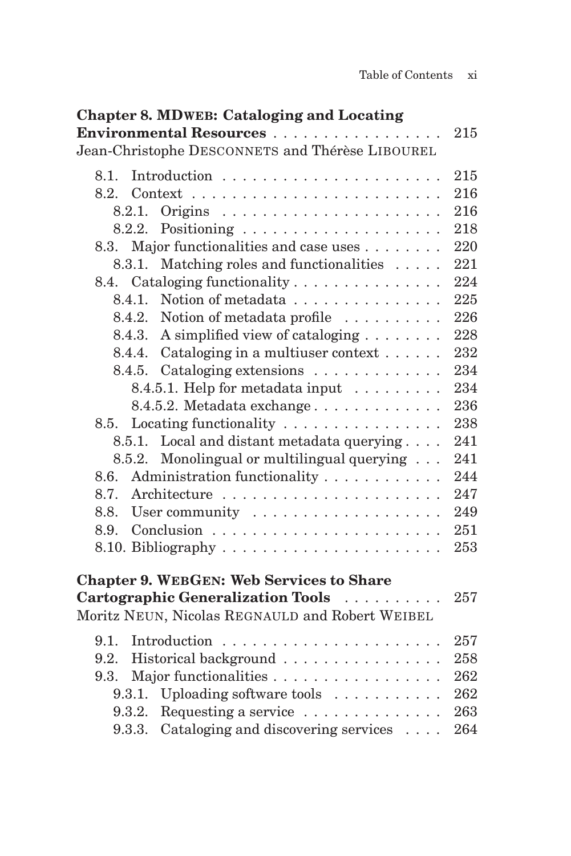| <b>Chapter 8. MDWEB: Cataloging and Locating</b>                          |     |
|---------------------------------------------------------------------------|-----|
| Environmental Resources                                                   | 215 |
| Jean-Christophe DESCONNETS and Thérèse LIBOUREL                           |     |
| 8.1.                                                                      | 215 |
| 8.2.<br>$Context \ldots \ldots \ldots \ldots \ldots \ldots \ldots \ldots$ | 216 |
| 8.2.1.                                                                    | 216 |
| 8.2.2.                                                                    | 218 |
| Major functionalities and case uses<br>8.3.                               | 220 |
| Matching roles and functionalities<br>8.3.1.                              | 221 |
| 8.4. Cataloging functionality                                             | 224 |
| Notion of metadata<br>8.4.1.                                              | 225 |
| 8.4.2.<br>Notion of metadata profile                                      | 226 |
| A simplified view of cataloging<br>8.4.3.                                 | 228 |
| Cataloging in a multiuser context $\dots \dots$<br>8.4.4.                 | 232 |
| Cataloging extensions<br>8.4.5.                                           | 234 |
| 8.4.5.1. Help for metadata input $\ldots \ldots$                          | 234 |
| 8.4.5.2. Metadata exchange                                                | 236 |
| Locating functionality $\dots \dots \dots \dots \dots$<br>8.5.            | 238 |
| Local and distant metadata querying<br>8.5.1.                             | 241 |
| Monolingual or multilingual querying $\ldots$<br>8.5.2.                   | 241 |
| Administration functionality<br>8.6.                                      | 244 |
| 8.7.                                                                      | 247 |
| 8.8.                                                                      | 249 |
| 8.9.                                                                      | 251 |
|                                                                           | 253 |
| <b>Chapter 9. WEBGEN: Web Services to Share</b>                           |     |
| Cartographic Generalization Tools                                         | 257 |
| Moritz NEUN, Nicolas REGNAULD and Robert WEIBEL                           |     |
|                                                                           |     |
| 9.1.                                                                      | 257 |
| Historical background<br>9.2.                                             | 258 |
| Major functionalities<br>9.3.                                             | 262 |
| Uploading software tools<br>9.3.1.                                        | 262 |
| Requesting a service<br>9.3.2.                                            | 263 |
| Cataloging and discovering services<br>9.3.3.                             | 264 |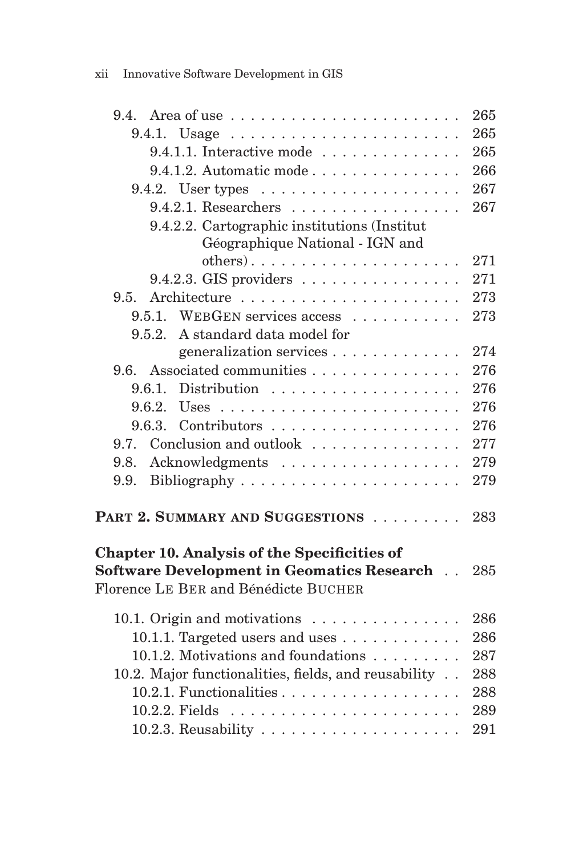| 9.4.                                                                                                                                             | 265 |
|--------------------------------------------------------------------------------------------------------------------------------------------------|-----|
| $9.4.1.$ Usage                                                                                                                                   | 265 |
| 9.4.1.1. Interactive mode                                                                                                                        | 265 |
| 9.4.1.2. Automatic mode                                                                                                                          | 266 |
| 9.4.2. User types $\dots \dots \dots \dots \dots \dots$                                                                                          | 267 |
| $9.4.2.1.$ Researchers                                                                                                                           | 267 |
| 9.4.2.2. Cartographic institutions (Institut                                                                                                     |     |
| Géographique National - IGN and                                                                                                                  |     |
| $others)$                                                                                                                                        | 271 |
| $9.4.2.3.$ GIS providers                                                                                                                         | 271 |
| 9.5.                                                                                                                                             | 273 |
| 9.5.1. WEBGEN services access                                                                                                                    | 273 |
| A standard data model for<br>9.5.2.                                                                                                              |     |
| generalization services                                                                                                                          | 274 |
| Associated communities<br>9.6.                                                                                                                   | 276 |
| 9.6.1.                                                                                                                                           | 276 |
| 9.6.2.                                                                                                                                           | 276 |
| 9.6.3.                                                                                                                                           | 276 |
| Conclusion and outlook<br>9.7.                                                                                                                   | 277 |
| Acknowledgments<br>9.8.                                                                                                                          | 279 |
| 9.9.                                                                                                                                             | 279 |
| PART 2. SUMMARY AND SUGGESTIONS                                                                                                                  | 283 |
| <b>Chapter 10. Analysis of the Specificities of</b><br><b>Software Development in Geomatics Research</b><br>Florence LE BER and Bénédicte BUCHER | 285 |
| 10.1. Origin and motivations                                                                                                                     | 286 |
| 10.1.1. Targeted users and uses $\dots \dots \dots$                                                                                              | 286 |
| 10.1.2. Motivations and foundations                                                                                                              | 287 |
| 10.2. Major functionalities, fields, and reusability                                                                                             | 288 |
| 10.2.1. Functionalities                                                                                                                          | 288 |
|                                                                                                                                                  | 289 |
| 10.2.3. Reusability $\ldots \ldots \ldots \ldots \ldots \ldots$                                                                                  | 291 |